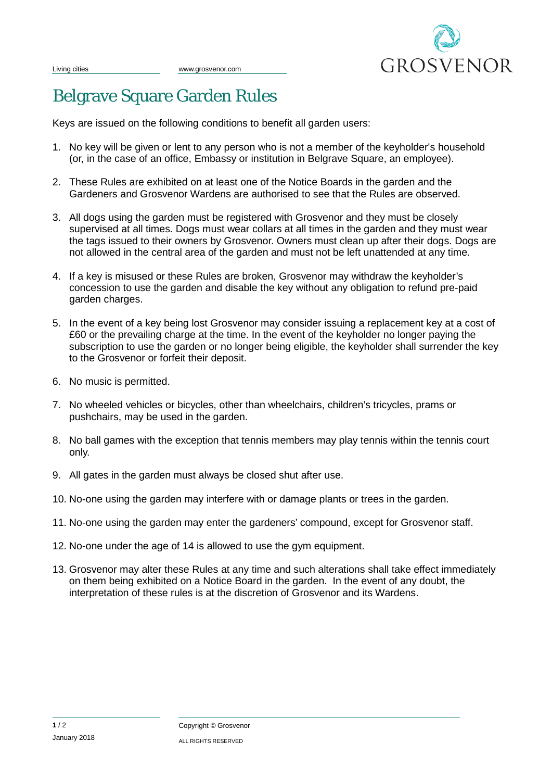

## Belgrave Square Garden Rules

Keys are issued on the following conditions to benefit all garden users:

- 1. No key will be given or lent to any person who is not a member of the keyholder's household (or, in the case of an office, Embassy or institution in Belgrave Square, an employee).
- 2. These Rules are exhibited on at least one of the Notice Boards in the garden and the Gardeners and Grosvenor Wardens are authorised to see that the Rules are observed.
- 3. All dogs using the garden must be registered with Grosvenor and they must be closely supervised at all times. Dogs must wear collars at all times in the garden and they must wear the tags issued to their owners by Grosvenor. Owners must clean up after their dogs. Dogs are not allowed in the central area of the garden and must not be left unattended at any time.
- 4. If a key is misused or these Rules are broken, Grosvenor may withdraw the keyholder's concession to use the garden and disable the key without any obligation to refund pre-paid garden charges.
- 5. In the event of a key being lost Grosvenor may consider issuing a replacement key at a cost of £60 or the prevailing charge at the time. In the event of the keyholder no longer paying the subscription to use the garden or no longer being eligible, the keyholder shall surrender the key to the Grosvenor or forfeit their deposit.
- 6. No music is permitted.
- 7. No wheeled vehicles or bicycles, other than wheelchairs, children's tricycles, prams or pushchairs, may be used in the garden.
- 8. No ball games with the exception that tennis members may play tennis within the tennis court only.
- 9. All gates in the garden must always be closed shut after use.
- 10. No-one using the garden may interfere with or damage plants or trees in the garden.
- 11. No-one using the garden may enter the gardeners' compound, except for Grosvenor staff.
- 12. No-one under the age of 14 is allowed to use the gym equipment.
- 13. Grosvenor may alter these Rules at any time and such alterations shall take effect immediately on them being exhibited on a Notice Board in the garden. In the event of any doubt, the interpretation of these rules is at the discretion of Grosvenor and its Wardens.